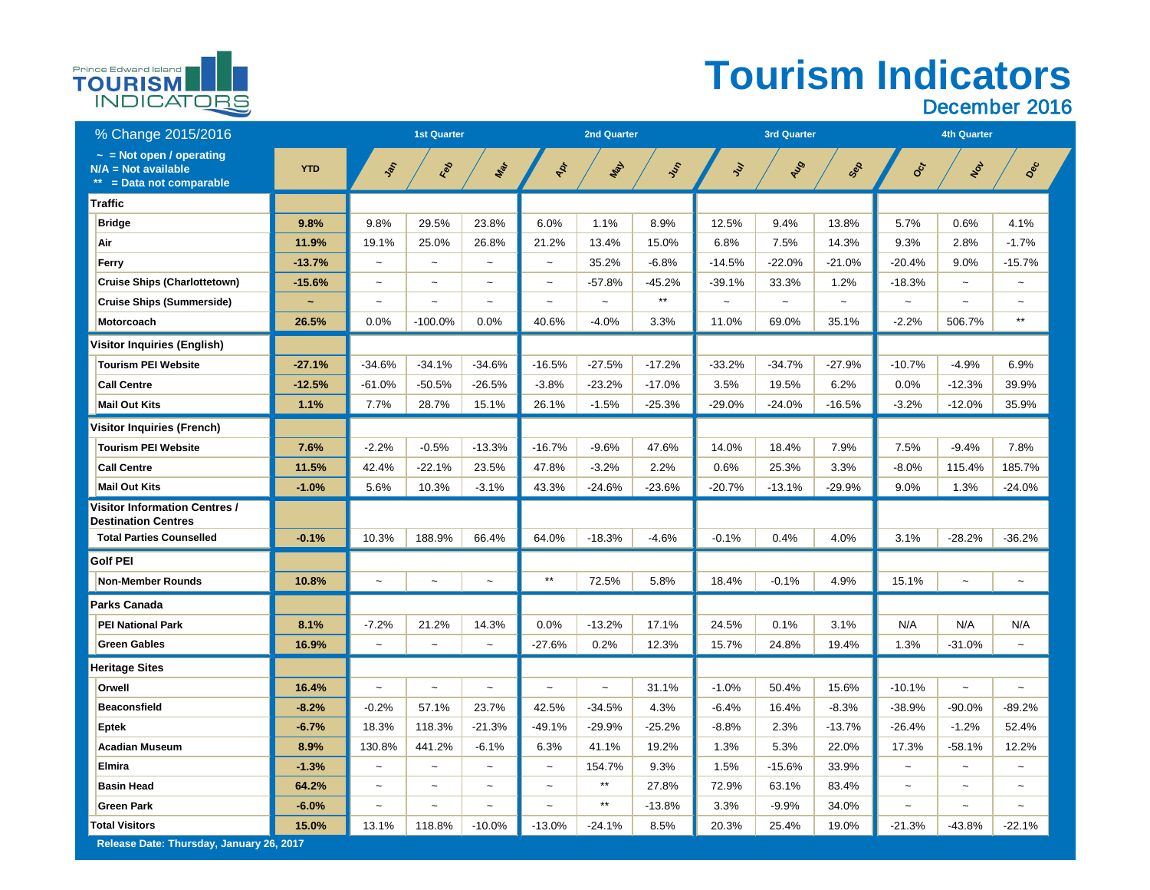## **Tourism Indicators**  December 2016



| % Change 2015/2016                                                              |            | <b>1st Quarter</b>    |                       |                       |                       | <b>2nd Quarter</b>    |          |                       | <b>3rd Quarter</b>    |                       | <b>4th Quarter</b>    |                       |                       |
|---------------------------------------------------------------------------------|------------|-----------------------|-----------------------|-----------------------|-----------------------|-----------------------|----------|-----------------------|-----------------------|-----------------------|-----------------------|-----------------------|-----------------------|
| $\sim$ = Not open / operating<br>$N/A = Not available$<br>= Data not comparable | <b>YTD</b> | John                  | Red                   | Max                   | PR                    | Nay                   | Ist      | $\mathcal{E}$         | AUD                   | Sep                   | Oct                   | NOL                   | Dec                   |
| Traffic                                                                         |            |                       |                       |                       |                       |                       |          |                       |                       |                       |                       |                       |                       |
| <b>Bridge</b>                                                                   | 9.8%       | 9.8%                  | 29.5%                 | 23.8%                 | 6.0%                  | 1.1%                  | 8.9%     | 12.5%                 | 9.4%                  | 13.8%                 | 5.7%                  | 0.6%                  | 4.1%                  |
| Air                                                                             | 11.9%      | 19.1%                 | 25.0%                 | 26.8%                 | 21.2%                 | 13.4%                 | 15.0%    | 6.8%                  | 7.5%                  | 14.3%                 | 9.3%                  | 2.8%                  | $-1.7%$               |
| <b>Ferry</b>                                                                    | $-13.7%$   | $\tilde{\phantom{m}}$ | $\thicksim$           | $\tilde{}$            | $\sim$                | 35.2%                 | $-6.8%$  | $-14.5%$              | $-22.0%$              | $-21.0%$              | $-20.4%$              | 9.0%                  | $-15.7%$              |
| <b>Cruise Ships (Charlottetown)</b>                                             | $-15.6%$   | $\tilde{\phantom{m}}$ | $\tilde{}$            | $\tilde{\phantom{a}}$ | $\tilde{}$            | $-57.8%$              | $-45.2%$ | $-39.1%$              | 33.3%                 | 1.2%                  | $-18.3%$              | $\sim$                | $\tilde{\phantom{a}}$ |
| <b>Cruise Ships (Summerside)</b>                                                | $\sim$     | $\tilde{\phantom{a}}$ | $\tilde{\phantom{a}}$ | $\tilde{\phantom{a}}$ | $\tilde{\phantom{a}}$ | $\tilde{}$            | $***$    | $\tilde{\phantom{a}}$ | $\tilde{\phantom{a}}$ | $\tilde{\phantom{a}}$ | $\tilde{}$            | $\tilde{\phantom{a}}$ | $\tilde{\phantom{a}}$ |
| <b>Motorcoach</b>                                                               | 26.5%      | 0.0%                  | $-100.0\%$            | 0.0%                  | 40.6%                 | $-4.0%$               | 3.3%     | 11.0%                 | 69.0%                 | 35.1%                 | $-2.2\%$              | 506.7%                | $***$                 |
| <b>Visitor Inquiries (English)</b>                                              |            |                       |                       |                       |                       |                       |          |                       |                       |                       |                       |                       |                       |
| <b>Tourism PEI Website</b>                                                      | $-27.1%$   | $-34.6%$              | $-34.1%$              | $-34.6%$              | $-16.5%$              | $-27.5%$              | $-17.2%$ | $-33.2%$              | $-34.7%$              | $-27.9%$              | $-10.7%$              | $-4.9%$               | 6.9%                  |
| <b>Call Centre</b>                                                              | $-12.5%$   | $-61.0%$              | $-50.5\%$             | $-26.5%$              | $-3.8%$               | $-23.2%$              | $-17.0%$ | 3.5%                  | 19.5%                 | 6.2%                  | 0.0%                  | $-12.3%$              | 39.9%                 |
| <b>Mail Out Kits</b>                                                            | 1.1%       | 7.7%                  | 28.7%                 | 15.1%                 | 26.1%                 | $-1.5%$               | $-25.3%$ | $-29.0%$              | $-24.0%$              | $-16.5%$              | $-3.2%$               | $-12.0%$              | 35.9%                 |
| <b>Visitor Inquiries (French)</b>                                               |            |                       |                       |                       |                       |                       |          |                       |                       |                       |                       |                       |                       |
| <b>Tourism PEI Website</b>                                                      | 7.6%       | $-2.2%$               | $-0.5%$               | $-13.3%$              | $-16.7%$              | $-9.6%$               | 47.6%    | 14.0%                 | 18.4%                 | 7.9%                  | 7.5%                  | $-9.4%$               | 7.8%                  |
| <b>Call Centre</b>                                                              | 11.5%      | 42.4%                 | $-22.1%$              | 23.5%                 | 47.8%                 | $-3.2%$               | 2.2%     | 0.6%                  | 25.3%                 | 3.3%                  | $-8.0\%$              | 115.4%                | 185.7%                |
| <b>Mail Out Kits</b>                                                            | $-1.0%$    | 5.6%                  | 10.3%                 | $-3.1%$               | 43.3%                 | $-24.6%$              | $-23.6%$ | $-20.7%$              | $-13.1%$              | $-29.9%$              | 9.0%                  | 1.3%                  | $-24.0%$              |
| <b>Visitor Information Centres /</b><br><b>Destination Centres</b>              |            |                       |                       |                       |                       |                       |          |                       |                       |                       |                       |                       |                       |
| <b>Total Parties Counselled</b>                                                 | $-0.1%$    | 10.3%                 | 188.9%                | 66.4%                 | 64.0%                 | $-18.3%$              | $-4.6%$  | $-0.1%$               | 0.4%                  | 4.0%                  | 3.1%                  | $-28.2%$              | $-36.2%$              |
| <b>Golf PEI</b>                                                                 |            |                       |                       |                       |                       |                       |          |                       |                       |                       |                       |                       |                       |
| <b>Non-Member Rounds</b>                                                        | 10.8%      | $\thicksim$           | $\thicksim$           | $\tilde{}$            | **                    | 72.5%                 | 5.8%     | 18.4%                 | $-0.1%$               | 4.9%                  | 15.1%                 | $\sim$                | $\tilde{\phantom{m}}$ |
| <b>Parks Canada</b>                                                             |            |                       |                       |                       |                       |                       |          |                       |                       |                       |                       |                       |                       |
| <b>PEI National Park</b>                                                        | 8.1%       | $-7.2%$               | 21.2%                 | 14.3%                 | 0.0%                  | $-13.2%$              | 17.1%    | 24.5%                 | 0.1%                  | 3.1%                  | N/A                   | N/A                   | N/A                   |
| <b>Green Gables</b>                                                             | 16.9%      | $\tilde{\phantom{a}}$ | $\tilde{\phantom{m}}$ | $\tilde{\phantom{a}}$ | $-27.6%$              | 0.2%                  | 12.3%    | 15.7%                 | 24.8%                 | 19.4%                 | 1.3%                  | $-31.0%$              | $\thicksim$           |
| <b>Heritage Sites</b>                                                           |            |                       |                       |                       |                       |                       |          |                       |                       |                       |                       |                       |                       |
| <b>Orwell</b>                                                                   | 16.4%      | $\tilde{\phantom{m}}$ | $\tilde{}$            | $\tilde{\phantom{a}}$ | $\tilde{\phantom{a}}$ | $\tilde{\phantom{m}}$ | 31.1%    | $-1.0%$               | 50.4%                 | 15.6%                 | $-10.1%$              | $\sim$                | $\tilde{\phantom{a}}$ |
| <b>Beaconsfield</b>                                                             | $-8.2%$    | $-0.2%$               | 57.1%                 | 23.7%                 | 42.5%                 | $-34.5%$              | 4.3%     | $-6.4%$               | 16.4%                 | $-8.3%$               | $-38.9%$              | $-90.0%$              | $-89.2%$              |
| <b>Eptek</b>                                                                    | $-6.7%$    | 18.3%                 | 118.3%                | $-21.3%$              | $-49.1%$              | $-29.9%$              | $-25.2%$ | $-8.8%$               | 2.3%                  | $-13.7%$              | $-26.4%$              | $-1.2%$               | 52.4%                 |
| <b>Acadian Museum</b>                                                           | 8.9%       | 130.8%                | 441.2%                | $-6.1%$               | 6.3%                  | 41.1%                 | 19.2%    | 1.3%                  | 5.3%                  | 22.0%                 | 17.3%                 | $-58.1%$              | 12.2%                 |
| <b>Elmira</b>                                                                   | $-1.3%$    | $\tilde{\phantom{m}}$ | $\tilde{\phantom{m}}$ | $\tilde{\phantom{a}}$ | $\tilde{\phantom{a}}$ | 154.7%                | 9.3%     | 1.5%                  | $-15.6%$              | 33.9%                 | $\tilde{\phantom{m}}$ | $\sim$                | $\tilde{\phantom{m}}$ |
| <b>Basin Head</b>                                                               | 64.2%      | $\tilde{\phantom{m}}$ | $\tilde{\phantom{a}}$ | $\tilde{\phantom{a}}$ | $\tilde{}$            | $***$                 | 27.8%    | 72.9%                 | 63.1%                 | 83.4%                 | $\tilde{\phantom{m}}$ | $\sim$                | $\tilde{\phantom{a}}$ |
| <b>Green Park</b>                                                               | $-6.0%$    | $\tilde{\phantom{a}}$ | $\tilde{\phantom{a}}$ | $\tilde{\phantom{a}}$ | $\tilde{\phantom{a}}$ | $***$                 | $-13.8%$ | 3.3%                  | $-9.9%$               | 34.0%                 | $\tilde{}$            | $\sim$                | $\tilde{\phantom{a}}$ |
| <b>Total Visitors</b>                                                           | 15.0%      | 13.1%                 | 118.8%                | $-10.0\%$             | $-13.0%$              | $-24.1%$              | 8.5%     | 20.3%                 | 25.4%                 | 19.0%                 | $-21.3%$              | $-43.8\%$             | $-22.1%$              |
| Release Date: Thursday, January 26, 2017                                        |            |                       |                       |                       |                       |                       |          |                       |                       |                       |                       |                       |                       |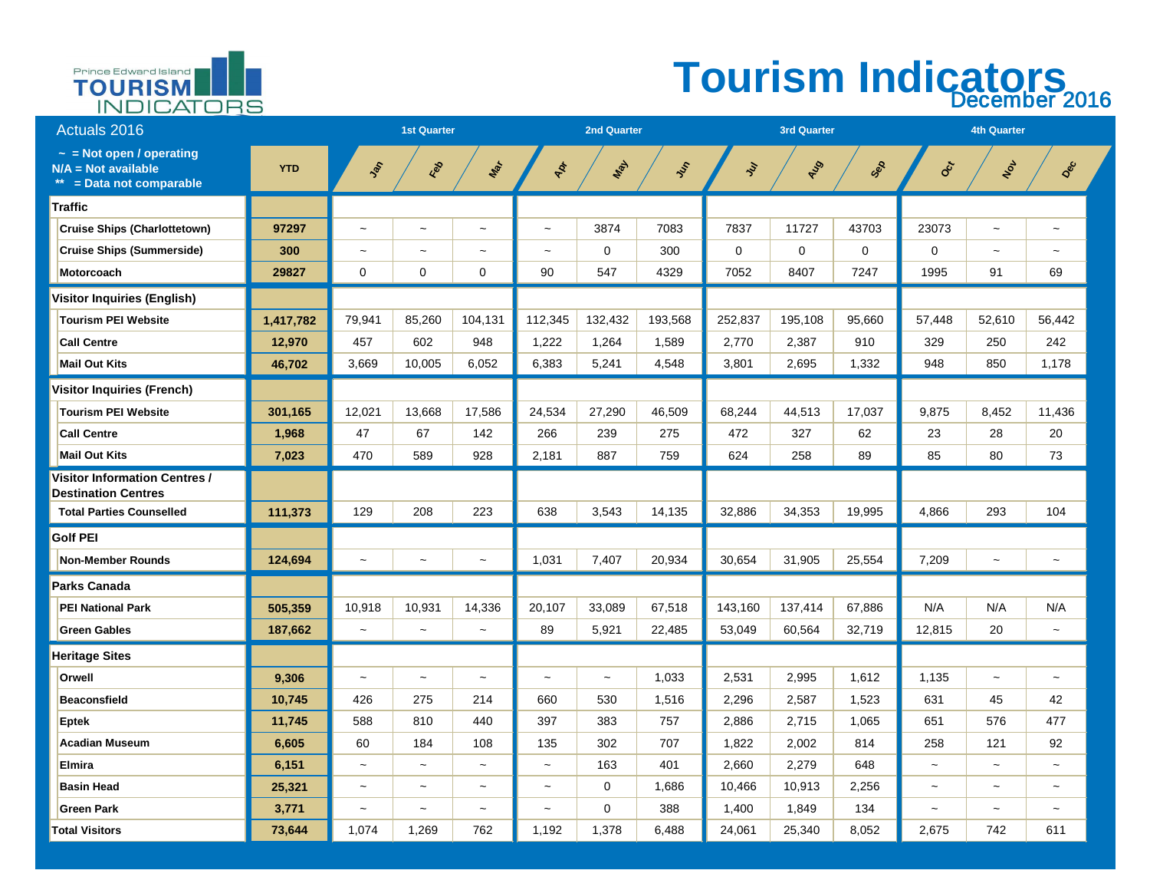

### **Tourism Indicators**  December 2016

| <b>Actuals 2016</b>                                                                |            | <b>1st Quarter</b>        |                       |                | <b>2nd Quarter</b>    |                       |               |                | <b>3rd Quarter</b> |                | <b>4th Quarter</b>        |                       |                       |  |
|------------------------------------------------------------------------------------|------------|---------------------------|-----------------------|----------------|-----------------------|-----------------------|---------------|----------------|--------------------|----------------|---------------------------|-----------------------|-----------------------|--|
| $\sim$ = Not open / operating<br>$N/A = Not available$<br>** = Data not comparable | <b>YTD</b> | Lat                       | Red                   | Max            | PR                    | <b>WAY</b>            | $\mathcal{S}$ | $\mathcal{E}$  | AUD                | SOR            | CCT                       | NON                   | Dec                   |  |
| <b>Traffic</b>                                                                     |            |                           |                       |                |                       |                       |               |                |                    |                |                           |                       |                       |  |
| <b>Cruise Ships (Charlottetown)</b>                                                | 97297      | $\widetilde{\phantom{m}}$ | $\thicksim$           | $\thicksim$    | $\tilde{}$            | 3874                  | 7083          | 7837           | 11727              | 43703          | 23073                     | $\thicksim$           | $\sim$                |  |
| <b>Cruise Ships (Summerside)</b>                                                   | 300        | $\tilde{}$                | $\tilde{\phantom{a}}$ | $\tilde{}$     | $\tilde{\phantom{a}}$ | $\overline{0}$        | 300           | $\overline{0}$ | $\overline{0}$     | $\overline{0}$ | $\overline{0}$            | $\tilde{\phantom{m}}$ | $\tilde{\phantom{a}}$ |  |
| Motorcoach                                                                         | 29827      | $\overline{0}$            | $\overline{0}$        | $\overline{0}$ | 90                    | 547                   | 4329          | 7052           | 8407               | 7247           | 1995                      | 91                    | 69                    |  |
| <b>Visitor Inquiries (English)</b>                                                 |            |                           |                       |                |                       |                       |               |                |                    |                |                           |                       |                       |  |
| <b>Tourism PEI Website</b>                                                         | 1,417,782  | 79,941                    | 85,260                | 104,131        | 112,345               | 132,432               | 193,568       | 252,837        | 195,108            | 95,660         | 57,448                    | 52,610                | 56,442                |  |
| <b>Call Centre</b>                                                                 | 12,970     | 457                       | 602                   | 948            | 1,222                 | 1,264                 | 1,589         | 2,770          | 2,387              | 910            | 329                       | 250                   | 242                   |  |
| <b>Mail Out Kits</b>                                                               | 46,702     | 3,669                     | 10,005                | 6,052          | 6,383                 | 5,241                 | 4,548         | 3,801          | 2,695              | 1,332          | 948                       | 850                   | 1,178                 |  |
| <b>Visitor Inquiries (French)</b>                                                  |            |                           |                       |                |                       |                       |               |                |                    |                |                           |                       |                       |  |
| <b>Tourism PEI Website</b>                                                         | 301,165    | 12,021                    | 13,668                | 17,586         | 24,534                | 27,290                | 46,509        | 68,244         | 44,513             | 17,037         | 9,875                     | 8,452                 | 11,436                |  |
| <b>Call Centre</b>                                                                 | 1,968      | 47                        | 67                    | 142            | 266                   | 239                   | 275           | 472            | 327                | 62             | 23                        | 28                    | 20                    |  |
| <b>Mail Out Kits</b>                                                               | 7,023      | 470                       | 589                   | 928            | 2,181                 | 887                   | 759           | 624            | 258                | 89             | 85                        | 80                    | 73                    |  |
| <b>Visitor Information Centres /</b><br><b>Destination Centres</b>                 |            |                           |                       |                |                       |                       |               |                |                    |                |                           |                       |                       |  |
| <b>Total Parties Counselled</b>                                                    | 111,373    | 129                       | 208                   | 223            | 638                   | 3,543                 | 14,135        | 32,886         | 34,353             | 19,995         | 4,866                     | 293                   | 104                   |  |
| <b>Golf PEI</b>                                                                    |            |                           |                       |                |                       |                       |               |                |                    |                |                           |                       |                       |  |
| Non-Member Rounds                                                                  | 124,694    | $\tilde{\phantom{m}}$     | $\tilde{\phantom{a}}$ | $\thicksim$    | 1,031                 | 7,407                 | 20,934        | 30,654         | 31,905             | 25,554         | 7,209                     | $\thicksim$           | $\sim$                |  |
| <b>Parks Canada</b>                                                                |            |                           |                       |                |                       |                       |               |                |                    |                |                           |                       |                       |  |
| <b>PEI National Park</b>                                                           | 505,359    | 10,918                    | 10,931                | 14,336         | 20,107                | 33,089                | 67,518        | 143,160        | 137,414            | 67,886         | N/A                       | N/A                   | N/A                   |  |
| <b>Green Gables</b>                                                                | 187,662    | $\tilde{\phantom{a}}$     | $\tilde{\phantom{a}}$ | $\thicksim$    | 89                    | 5,921                 | 22,485        | 53,049         | 60,564             | 32,719         | 12,815                    | 20                    | $\sim$                |  |
| <b>Heritage Sites</b>                                                              |            |                           |                       |                |                       |                       |               |                |                    |                |                           |                       |                       |  |
| <b>Orwell</b>                                                                      | 9,306      | $\thicksim$               | $\tilde{\phantom{m}}$ | $\thicksim$    | $\sim$                | $\tilde{\phantom{a}}$ | 1,033         | 2,531          | 2,995              | 1,612          | 1,135                     | $\thicksim$           | $\sim$                |  |
| <b>Beaconsfield</b>                                                                | 10,745     | 426                       | 275                   | 214            | 660                   | 530                   | 1,516         | 2,296          | 2,587              | 1,523          | 631                       | 45                    | 42                    |  |
| <b>Eptek</b>                                                                       | 11,745     | 588                       | 810                   | 440            | 397                   | 383                   | 757           | 2,886          | 2,715              | 1,065          | 651                       | 576                   | 477                   |  |
| <b>Acadian Museum</b>                                                              | 6,605      | 60                        | 184                   | 108            | 135                   | 302                   | 707           | 1,822          | 2,002              | 814            | 258                       | 121                   | 92                    |  |
| <b>Elmira</b>                                                                      | 6,151      | $\thicksim$               | $\thicksim$           | $\thicksim$    | $\sim$                | 163                   | 401           | 2,660          | 2,279              | 648            | $\tilde{}$                | $\thicksim$           | $\tilde{\phantom{m}}$ |  |
| <b>Basin Head</b>                                                                  | 25,321     | $\thicksim$               | $\tilde{\phantom{a}}$ | $\thicksim$    | $\tilde{}$            | $\overline{0}$        | 1,686         | 10,466         | 10,913             | 2,256          | $\sim$                    | $\thicksim$           | $\sim$                |  |
| <b>Green Park</b>                                                                  | 3,771      | $\thicksim$               | $\tilde{\phantom{a}}$ | $\thicksim$    | $\tilde{}$            | $\overline{0}$        | 388           | 1,400          | 1,849              | 134            | $\widetilde{\phantom{m}}$ | $\thicksim$           | $\tilde{\phantom{m}}$ |  |
| <b>Total Visitors</b>                                                              | 73,644     | 1,074                     | 1,269                 | 762            | 1,192                 | 1,378                 | 6,488         | 24,061         | 25,340             | 8,052          | 2,675                     | 742                   | 611                   |  |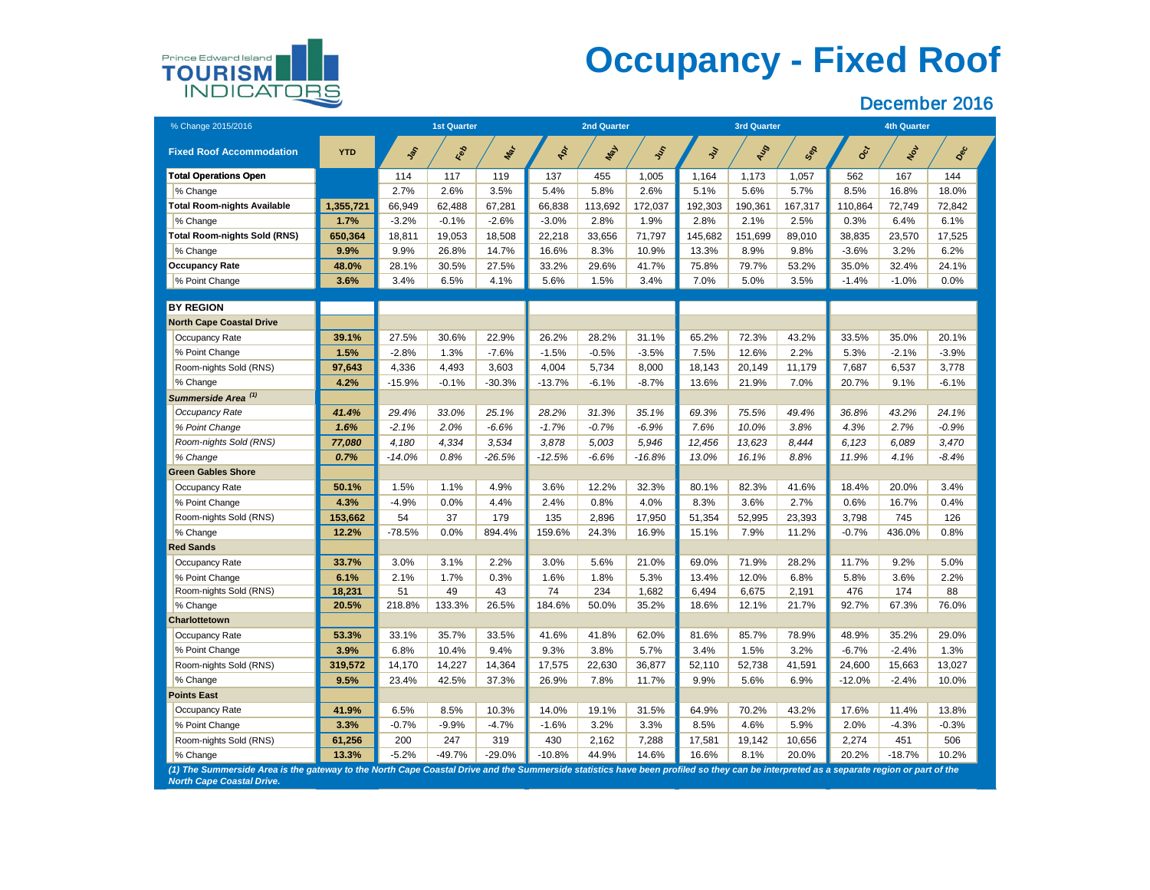# **Occupancy - Fixed Roof**

#### December 2016



| % Change 2015/2016                                                                                                                                                                     |            |          | <b>1st Quarter</b> |          |           | <b>2nd Quarter</b> |            |               | <b>3rd Quarter</b> |         | <b>4th Quarter</b> |         |         |
|----------------------------------------------------------------------------------------------------------------------------------------------------------------------------------------|------------|----------|--------------------|----------|-----------|--------------------|------------|---------------|--------------------|---------|--------------------|---------|---------|
| <b>Fixed Roof Accommodation</b>                                                                                                                                                        | <b>YTD</b> | SOF      | Red                | Mar      | PR        | Nay                | <b>SSS</b> | $\mathcal{E}$ | AUD                | Sep     | Oct                | NOL     | Dec     |
| <b>Total Operations Open</b>                                                                                                                                                           |            | 114      | 117                | 119      | 137       | 455                | 1,005      | 1,164         | 1,173              | 1,057   | 562                | 167     | 144     |
| % Change                                                                                                                                                                               |            | 2.7%     | 2.6%               | 3.5%     | 5.4%      | 5.8%               | 2.6%       | 5.1%          | 5.6%               | 5.7%    | 8.5%               | 16.8%   | 18.0%   |
| <b>Total Room-nights Available</b>                                                                                                                                                     | 1,355,721  | 66,949   | 62,488             | 67,281   | 66,838    | 113,692            | 172,037    | 192,303       | 190,361            | 167,317 | 110,864            | 72,749  | 72,842  |
| % Change                                                                                                                                                                               | 1.7%       | $-3.2%$  | $-0.1%$            | $-2.6%$  | $-3.0%$   | 2.8%               | 1.9%       | 2.8%          | 2.1%               | 2.5%    | 0.3%               | 6.4%    | 6.1%    |
| <b>Total Room-nights Sold (RNS)</b>                                                                                                                                                    | 650,364    | 18,811   | 19,053             | 18,508   | 22,218    | 33,656             | 71,797     | 145,682       | 151,699            | 89,010  | 38,835             | 23,570  | 17,525  |
| % Change                                                                                                                                                                               | 9.9%       | 9.9%     | 26.8%              | 14.7%    | 16.6%     | 8.3%               | 10.9%      | 13.3%         | 8.9%               | 9.8%    | $-3.6%$            | 3.2%    | 6.2%    |
| <b>Occupancy Rate</b>                                                                                                                                                                  | 48.0%      | 28.1%    | 30.5%              | 27.5%    | 33.2%     | 29.6%              | 41.7%      | 75.8%         | 79.7%              | 53.2%   | 35.0%              | 32.4%   | 24.1%   |
| % Point Change                                                                                                                                                                         | 3.6%       | 3.4%     | 6.5%               | 4.1%     | 5.6%      | 1.5%               | 3.4%       | 7.0%          | 5.0%               | 3.5%    | $-1.4%$            | $-1.0%$ | $0.0\%$ |
|                                                                                                                                                                                        |            |          |                    |          |           |                    |            |               |                    |         |                    |         |         |
| <b>BY REGION</b>                                                                                                                                                                       |            |          |                    |          |           |                    |            |               |                    |         |                    |         |         |
| <b>North Cape Coastal Drive</b>                                                                                                                                                        |            |          |                    |          |           |                    |            |               |                    |         |                    |         |         |
| Occupancy Rate                                                                                                                                                                         | 39.1%      | 27.5%    | 30.6%              | 22.9%    | 26.2%     | 28.2%              | 31.1%      | 65.2%         | 72.3%              | 43.2%   | 33.5%              | 35.0%   | 20.1%   |
| % Point Change                                                                                                                                                                         | 1.5%       | $-2.8%$  | 1.3%               | $-7.6%$  | $-1.5%$   | $-0.5%$            | $-3.5%$    | 7.5%          | 12.6%              | 2.2%    | 5.3%               | $-2.1%$ | $-3.9%$ |
| Room-nights Sold (RNS)                                                                                                                                                                 | 97,643     | 4,336    | 4,493              | 3,603    | 4,004     | 5,734              | 8,000      | 18,143        | 20,149             | 11,179  | 7,687              | 6,537   | 3,778   |
| % Change                                                                                                                                                                               | 4.2%       | $-15.9%$ | $-0.1%$            | $-30.3%$ | $-13.7%$  | $-6.1%$            | $-8.7%$    | 13.6%         | 21.9%              | 7.0%    | 20.7%              | 9.1%    | $-6.1%$ |
| Summerside Area <sup>(1)</sup>                                                                                                                                                         |            |          |                    |          |           |                    |            |               |                    |         |                    |         |         |
| <b>Occupancy Rate</b>                                                                                                                                                                  | 41.4%      | 29.4%    | 33.0%              | 25.1%    | 28.2%     | 31.3%              | 35.1%      | 69.3%         | 75.5%              | 49.4%   | 36.8%              | 43.2%   | 24.1%   |
| % Point Change                                                                                                                                                                         | 1.6%       | -2.1%    | 2.0%               | $-6.6%$  | $-1.7\%$  | $-0.7%$            | $-6.9%$    | 7.6%          | 10.0%              | 3.8%    | 4.3%               | 2.7%    | $-0.9%$ |
| Room-nights Sold (RNS)                                                                                                                                                                 | 77,080     | 4,180    | 4,334              | 3,534    | 3,878     | 5,003              | 5,946      | 12,456        | 13,623             | 8,444   | 6,123              | 6,089   | 3,470   |
| % Change                                                                                                                                                                               | 0.7%       | $-14.0%$ | 0.8%               | $-26.5%$ | $-12.5%$  | $-6.6%$            | $-16.8%$   | 13.0%         | 16.1%              | 8.8%    | 11.9%              | 4.1%    | $-8.4%$ |
| <b>Green Gables Shore</b>                                                                                                                                                              |            |          |                    |          |           |                    |            |               |                    |         |                    |         |         |
| <b>Occupancy Rate</b>                                                                                                                                                                  | 50.1%      | 1.5%     | 1.1%               | 4.9%     | 3.6%      | 12.2%              | 32.3%      | 80.1%         | 82.3%              | 41.6%   | 18.4%              | 20.0%   | 3.4%    |
| % Point Change                                                                                                                                                                         | 4.3%       | $-4.9%$  | 0.0%               | 4.4%     | 2.4%      | 0.8%               | 4.0%       | 8.3%          | 3.6%               | 2.7%    | 0.6%               | 16.7%   | 0.4%    |
| Room-nights Sold (RNS)                                                                                                                                                                 | 153,662    | 54       | 37                 | 179      | 135       | 2,896              | 17,950     | 51,354        | 52,995             | 23,393  | 3,798              | 745     | 126     |
| % Change                                                                                                                                                                               | 12.2%      | $-78.5%$ | 0.0%               | 894.4%   | 159.6%    | 24.3%              | 16.9%      | 15.1%         | 7.9%               | 11.2%   | $-0.7%$            | 436.0%  | 0.8%    |
| <b>Red Sands</b>                                                                                                                                                                       |            |          |                    |          |           |                    |            |               |                    |         |                    |         |         |
| <b>Occupancy Rate</b>                                                                                                                                                                  | 33.7%      | 3.0%     | 3.1%               | 2.2%     | 3.0%      | 5.6%               | 21.0%      | 69.0%         | 71.9%              | 28.2%   | 11.7%              | 9.2%    | 5.0%    |
| % Point Change                                                                                                                                                                         | 6.1%       | 2.1%     | 1.7%               | 0.3%     | 1.6%      | 1.8%               | 5.3%       | 13.4%         | 12.0%              | 6.8%    | 5.8%               | 3.6%    | $2.2\%$ |
| Room-nights Sold (RNS)                                                                                                                                                                 | 18,231     | 51       | 49                 | 43       | 74        | 234                | 1,682      | 6,494         | 6,675              | 2,191   | 476                | 174     | 88      |
| % Change                                                                                                                                                                               | 20.5%      | 218.8%   | 133.3%             | 26.5%    | 184.6%    | 50.0%              | 35.2%      | 18.6%         | 12.1%              | 21.7%   | 92.7%              | 67.3%   | 76.0%   |
| <b>Charlottetown</b>                                                                                                                                                                   |            |          |                    |          |           |                    |            |               |                    |         |                    |         |         |
| <b>Occupancy Rate</b>                                                                                                                                                                  | 53.3%      | 33.1%    | 35.7%              | 33.5%    | 41.6%     | 41.8%              | 62.0%      | 81.6%         | 85.7%              | 78.9%   | 48.9%              | 35.2%   | 29.0%   |
| % Point Change                                                                                                                                                                         | 3.9%       | 6.8%     | 10.4%              | 9.4%     | 9.3%      | 3.8%               | 5.7%       | 3.4%          | 1.5%               | 3.2%    | $-6.7%$            | $-2.4%$ | 1.3%    |
| Room-nights Sold (RNS)                                                                                                                                                                 | 319,572    | 14,170   | 14,227             | 14,364   | 17,575    | 22,630             | 36,877     | 52,110        | 52,738             | 41,591  | 24,600             | 15,663  | 13,027  |
| % Change                                                                                                                                                                               | 9.5%       | 23.4%    | 42.5%              | 37.3%    | 26.9%     | 7.8%               | 11.7%      | 9.9%          | 5.6%               | 6.9%    | $-12.0%$           | $-2.4%$ | 10.0%   |
| <b>Points East</b>                                                                                                                                                                     |            |          |                    |          |           |                    |            |               |                    |         |                    |         |         |
| <b>Occupancy Rate</b>                                                                                                                                                                  | 41.9%      | 6.5%     | 8.5%               | 10.3%    | 14.0%     | 19.1%              | 31.5%      | 64.9%         | 70.2%              | 43.2%   | 17.6%              | 11.4%   | 13.8%   |
| % Point Change                                                                                                                                                                         | 3.3%       | $-0.7%$  | $-9.9\%$           | $-4.7%$  | $-1.6%$   | 3.2%               | 3.3%       | 8.5%          | 4.6%               | 5.9%    | 2.0%               | $-4.3%$ | $-0.3%$ |
| Room-nights Sold (RNS)                                                                                                                                                                 | 61,256     | 200      | 247                | 319      | 430       | 2,162              | 7,288      | 17,581        | 19,142             | 10,656  | 2,274              | 451     | 506     |
| % Change                                                                                                                                                                               | 13.3%      | $-5.2%$  | -49.7%             | $-29.0%$ | $-10.8\%$ | 44.9%              | 14.6%      | 16.6%         | 8.1%               | 20.0%   | 20.2%              | -18.7%  | 10.2%   |
| (1) The Summerside Area is the gateway to the North Cape Coastal Drive and the Summerside statistics have been profiled so they can be interpreted as a separate region or part of the |            |          |                    |          |           |                    |            |               |                    |         |                    |         |         |

*(1) The Summerside Area is the gateway to the North Cape Coastal Drive and the Summerside statistics have been profiled so they can be interpreted as a separate region or part of the North Cape Coastal Drive.*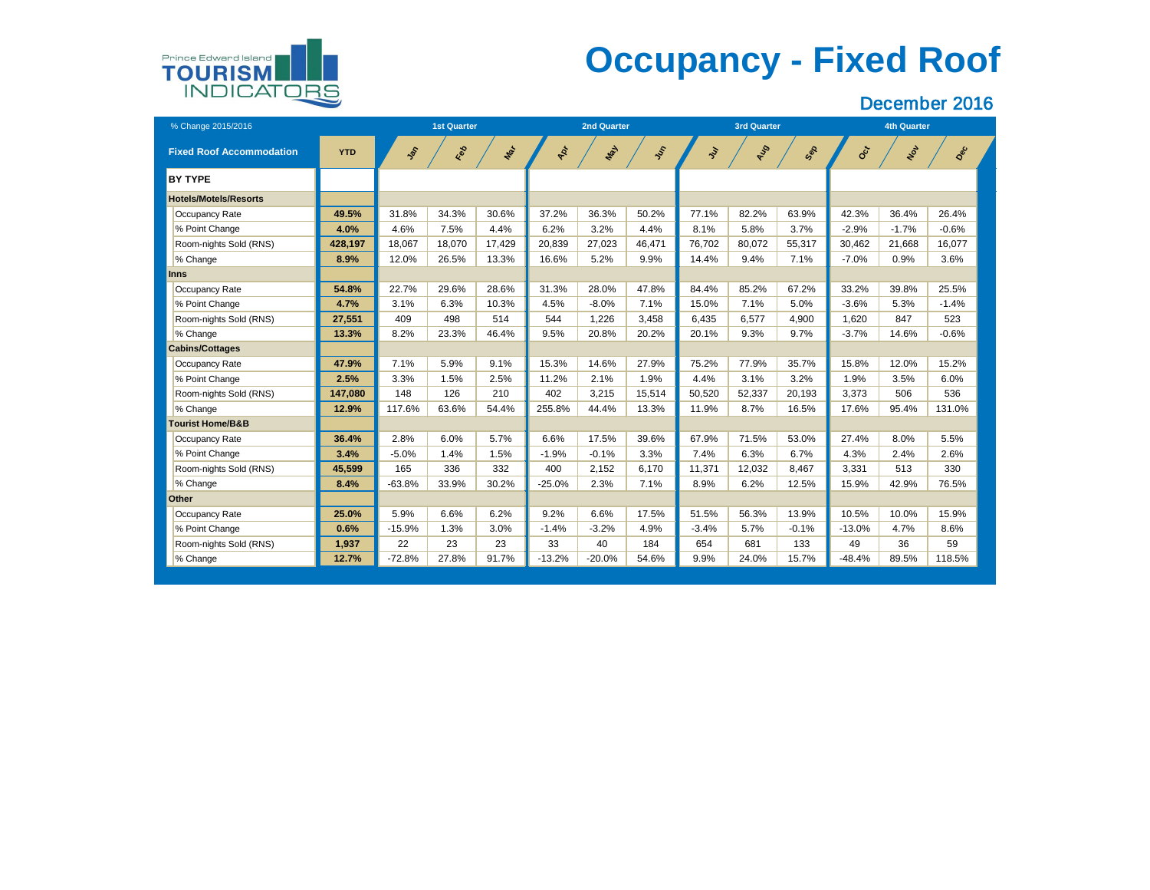# **Occupancy - Fixed Roof**



| % Change 2015/2016              |            |            | <b>1st Quarter</b> |        |           | <b>2nd Quarter</b> |        |           | <b>3rd Quarter</b> |         | <b>4th Quarter</b> |         |         |  |
|---------------------------------|------------|------------|--------------------|--------|-----------|--------------------|--------|-----------|--------------------|---------|--------------------|---------|---------|--|
| <b>Fixed Roof Accommodation</b> | <b>YTD</b> | <b>SOL</b> | Red                | Mar    | ART       | <b>May</b>         | SSS    | <b>Sy</b> | AUS                | Sex     | Oct                | NOV     | Dec     |  |
| <b>BY TYPE</b>                  |            |            |                    |        |           |                    |        |           |                    |         |                    |         |         |  |
| <b>Hotels/Motels/Resorts</b>    |            |            |                    |        |           |                    |        |           |                    |         |                    |         |         |  |
| <b>Occupancy Rate</b>           | 49.5%      | 31.8%      | 34.3%              | 30.6%  | 37.2%     | 36.3%              | 50.2%  | 77.1%     | 82.2%              | 63.9%   | 42.3%              | 36.4%   | 26.4%   |  |
| % Point Change                  | 4.0%       | 4.6%       | 7.5%               | 4.4%   | 6.2%      | 3.2%               | 4.4%   | 8.1%      | 5.8%               | 3.7%    | $-2.9%$            | $-1.7%$ | $-0.6%$ |  |
| Room-nights Sold (RNS)          | 428,197    | 18,067     | 18,070             | 17,429 | 20,839    | 27,023             | 46,471 | 76,702    | 80,072             | 55,317  | 30,462             | 21,668  | 16,077  |  |
| % Change                        | 8.9%       | 12.0%      | 26.5%              | 13.3%  | 16.6%     | 5.2%               | 9.9%   | 14.4%     | 9.4%               | 7.1%    | $-7.0%$            | 0.9%    | 3.6%    |  |
| <b>Inns</b>                     |            |            |                    |        |           |                    |        |           |                    |         |                    |         |         |  |
| <b>Occupancy Rate</b>           | 54.8%      | 22.7%      | 29.6%              | 28.6%  | 31.3%     | 28.0%              | 47.8%  | 84.4%     | 85.2%              | 67.2%   | 33.2%              | 39.8%   | 25.5%   |  |
| % Point Change                  | 4.7%       | 3.1%       | 6.3%               | 10.3%  | 4.5%      | $-8.0%$            | 7.1%   | 15.0%     | 7.1%               | 5.0%    | $-3.6%$            | 5.3%    | $-1.4%$ |  |
| Room-nights Sold (RNS)          | 27,551     | 409        | 498                | 514    | 544       | 1,226              | 3,458  | 6,435     | 6,577              | 4,900   | 1,620              | 847     | 523     |  |
| % Change                        | 13.3%      | 8.2%       | 23.3%              | 46.4%  | 9.5%      | 20.8%              | 20.2%  | 20.1%     | 9.3%               | 9.7%    | $-3.7%$            | 14.6%   | $-0.6%$ |  |
| <b>Cabins/Cottages</b>          |            |            |                    |        |           |                    |        |           |                    |         |                    |         |         |  |
| <b>Occupancy Rate</b>           | 47.9%      | 7.1%       | 5.9%               | 9.1%   | 15.3%     | 14.6%              | 27.9%  | 75.2%     | 77.9%              | 35.7%   | 15.8%              | 12.0%   | 15.2%   |  |
| % Point Change                  | 2.5%       | 3.3%       | 1.5%               | 2.5%   | 11.2%     | 2.1%               | 1.9%   | 4.4%      | 3.1%               | 3.2%    | 1.9%               | 3.5%    | 6.0%    |  |
| Room-nights Sold (RNS)          | 147,080    | 148        | 126                | 210    | 402       | 3,215              | 15,514 | 50,520    | 52,337             | 20,193  | 3,373              | 506     | 536     |  |
| % Change                        | 12.9%      | 117.6%     | 63.6%              | 54.4%  | 255.8%    | 44.4%              | 13.3%  | 11.9%     | 8.7%               | 16.5%   | 17.6%              | 95.4%   | 131.0%  |  |
| <b>Tourist Home/B&amp;B</b>     |            |            |                    |        |           |                    |        |           |                    |         |                    |         |         |  |
| <b>Occupancy Rate</b>           | 36.4%      | 2.8%       | 6.0%               | 5.7%   | 6.6%      | 17.5%              | 39.6%  | 67.9%     | 71.5%              | 53.0%   | 27.4%              | 8.0%    | 5.5%    |  |
| % Point Change                  | 3.4%       | $-5.0%$    | 1.4%               | 1.5%   | $-1.9\%$  | $-0.1%$            | 3.3%   | 7.4%      | 6.3%               | 6.7%    | 4.3%               | 2.4%    | 2.6%    |  |
| Room-nights Sold (RNS)          | 45,599     | 165        | 336                | 332    | 400       | 2,152              | 6,170  | 11,371    | 12,032             | 8,467   | 3,331              | 513     | 330     |  |
| % Change                        | 8.4%       | $-63.8%$   | 33.9%              | 30.2%  | $-25.0\%$ | 2.3%               | 7.1%   | 8.9%      | 6.2%               | 12.5%   | 15.9%              | 42.9%   | 76.5%   |  |
| <b>Other</b>                    |            |            |                    |        |           |                    |        |           |                    |         |                    |         |         |  |
| <b>Occupancy Rate</b>           | 25.0%      | 5.9%       | 6.6%               | 6.2%   | 9.2%      | 6.6%               | 17.5%  | 51.5%     | 56.3%              | 13.9%   | 10.5%              | 10.0%   | 15.9%   |  |
| % Point Change                  | 0.6%       | $-15.9%$   | 1.3%               | 3.0%   | -1.4%     | $-3.2%$            | 4.9%   | $-3.4%$   | 5.7%               | $-0.1%$ | $-13.0\%$          | 4.7%    | 8.6%    |  |
| Room-nights Sold (RNS)          | 1,937      | 22         | 23                 | 23     | 33        | 40                 | 184    | 654       | 681                | 133     | 49                 | 36      | 59      |  |
| % Change                        | 12.7%      | $-72.8%$   | 27.8%              | 91.7%  | $-13.2%$  | $-20.0\%$          | 54.6%  | 9.9%      | 24.0%              | 15.7%   | $-48.4%$           | 89.5%   | 118.5%  |  |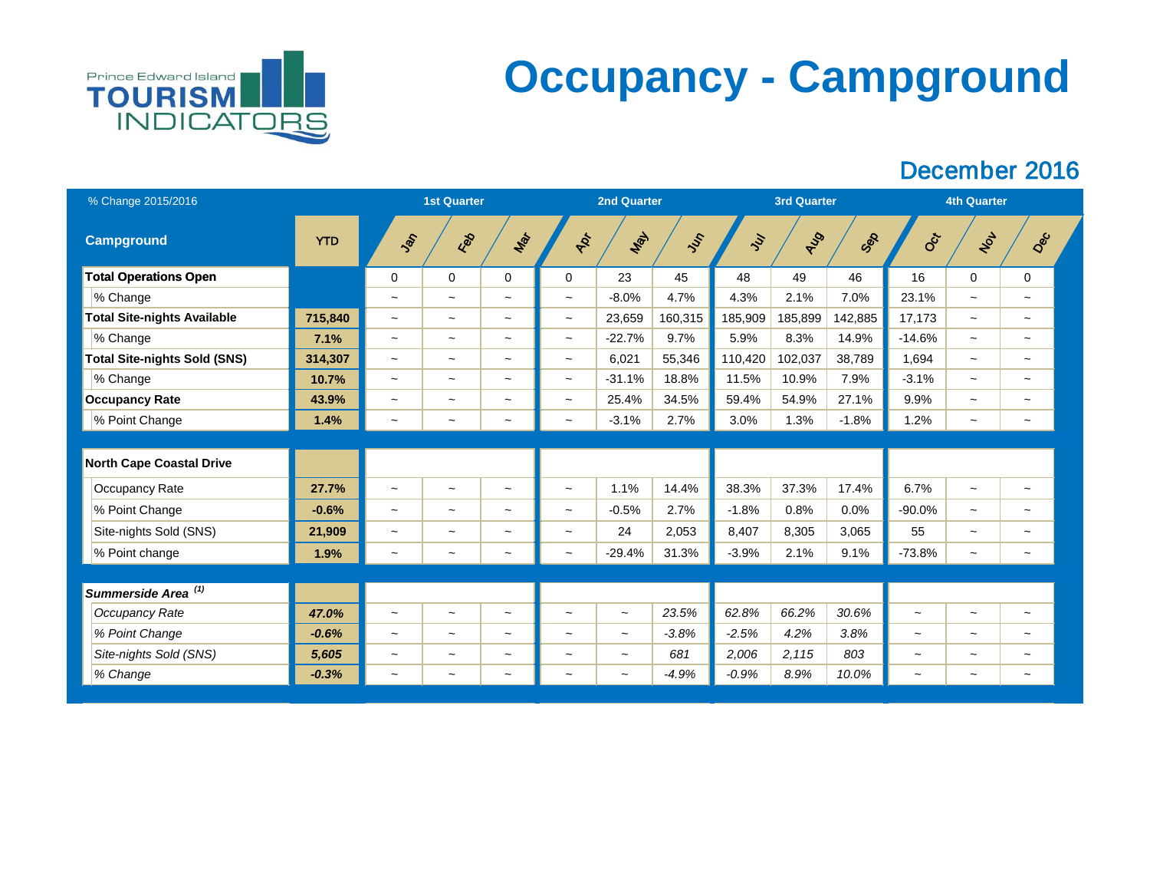

## **Occupancy - Campground**

| % Change 2015/2016                  |            |                           | <b>2nd Quarter</b>    |                           |                           | <b>3rd Quarter</b>    |               | <b>4th Quarter</b> |         |         |                       |                           |                           |  |
|-------------------------------------|------------|---------------------------|-----------------------|---------------------------|---------------------------|-----------------------|---------------|--------------------|---------|---------|-----------------------|---------------------------|---------------------------|--|
| <b>Campground</b>                   | <b>YTD</b> | SOF                       | Red                   | Mar                       | ADT                       | Max                   | $\mathcal{S}$ | $\mathcal{S}$      | RUS     | Sep     | Oct                   | NOL                       | Dec                       |  |
| <b>Total Operations Open</b>        |            | $\mathbf 0$               | $\overline{0}$        | $\overline{0}$            | $\overline{0}$            | 23                    | 45            | 48                 | 49      | 46      | 16                    | $\boldsymbol{0}$          | $\mathbf 0$               |  |
| % Change                            |            | $\thicksim$               | $\tilde{\phantom{a}}$ | $\sim$                    | $\widetilde{\phantom{m}}$ | $-8.0\%$              | 4.7%          | 4.3%               | 2.1%    | 7.0%    | 23.1%                 | $\tilde{\phantom{m}}$     | $\sim$                    |  |
| <b>Total Site-nights Available</b>  | 715,840    | $\tilde{\phantom{a}}$     | $\sim$                | $\sim$                    | $\thicksim$               | 23,659                | 160,315       | 185,909            | 185,899 | 142,885 | 17,173                | $\widetilde{\phantom{m}}$ | $\tilde{\phantom{a}}$     |  |
| % Change                            | 7.1%       | $\tilde{\phantom{a}}$     | $\tilde{\phantom{a}}$ | $\sim$                    | $\widetilde{\phantom{m}}$ | $-22.7%$              | 9.7%          | 5.9%               | 8.3%    | 14.9%   | $-14.6%$              | $\tilde{\phantom{a}}$     | $\tilde{\phantom{a}}$     |  |
| <b>Total Site-nights Sold (SNS)</b> | 314,307    | $\widetilde{\phantom{m}}$ | $\tilde{\phantom{a}}$ | $\sim$                    | $\widetilde{\phantom{m}}$ | 6,021                 | 55,346        | 110,420            | 102,037 | 38,789  | 1,694                 | $\tilde{\phantom{m}}$     | $\tilde{\phantom{a}}$     |  |
| % Change                            | 10.7%      | $\widetilde{\phantom{m}}$ | $\tilde{}$            | $\sim$                    | $\widetilde{\phantom{m}}$ | $-31.1%$              | 18.8%         | 11.5%              | 10.9%   | 7.9%    | $-3.1%$               | $\widetilde{\phantom{m}}$ | $\tilde{}$                |  |
| <b>Occupancy Rate</b>               | 43.9%      | $\tilde{}$                | $\tilde{\phantom{a}}$ | $\widetilde{\phantom{m}}$ | $\widetilde{\phantom{m}}$ | 25.4%                 | 34.5%         | 59.4%              | 54.9%   | 27.1%   | 9.9%                  | $\widetilde{\phantom{m}}$ | $\tilde{\phantom{a}}$     |  |
| % Point Change                      | 1.4%       | $\tilde{\phantom{a}}$     | $\tilde{\phantom{a}}$ | $\tilde{\phantom{a}}$     | $\widetilde{\phantom{m}}$ | $-3.1%$               | 2.7%          | 3.0%               | 1.3%    | $-1.8%$ | 1.2%                  | $\sim$                    | $\tilde{\phantom{a}}$     |  |
|                                     |            |                           |                       |                           |                           |                       |               |                    |         |         |                       |                           |                           |  |
| <b>North Cape Coastal Drive</b>     |            |                           |                       |                           |                           |                       |               |                    |         |         |                       |                           |                           |  |
| Occupancy Rate                      | 27.7%      | $\thicksim$               | $\tilde{\phantom{a}}$ | $\widetilde{\phantom{m}}$ | $\thicksim$               | 1.1%                  | 14.4%         | 38.3%              | 37.3%   | 17.4%   | 6.7%                  | $\widetilde{\phantom{m}}$ |                           |  |
| % Point Change                      | $-0.6%$    | $\widetilde{\phantom{m}}$ | $\tilde{}$            | $\tilde{\phantom{a}}$     | $\widetilde{\phantom{m}}$ | $-0.5%$               | 2.7%          | $-1.8%$            | 0.8%    | 0.0%    | $-90.0%$              | $\widetilde{\phantom{m}}$ | $\tilde{\phantom{a}}$     |  |
| Site-nights Sold (SNS)              | 21,909     | $\widetilde{\phantom{m}}$ | $\tilde{\phantom{a}}$ | $\sim$                    | $\widetilde{\phantom{m}}$ | 24                    | 2,053         | 8,407              | 8,305   | 3,065   | 55                    | $\widetilde{\phantom{m}}$ | $\tilde{\phantom{a}}$     |  |
| % Point change                      | 1.9%       | $\tilde{\phantom{a}}$     | $\tilde{\phantom{a}}$ | $\sim$                    | $\widetilde{\phantom{m}}$ | $-29.4%$              | 31.3%         | $-3.9%$            | 2.1%    | 9.1%    | $-73.8%$              | $\widetilde{\phantom{m}}$ | $\tilde{\phantom{a}}$     |  |
|                                     |            |                           |                       |                           |                           |                       |               |                    |         |         |                       |                           |                           |  |
| Summerside Area <sup>(1)</sup>      |            |                           |                       |                           |                           |                       |               |                    |         |         |                       |                           |                           |  |
| <b>Occupancy Rate</b>               | 47.0%      | $\thicksim$               | $\tilde{}$            | $\tilde{\phantom{a}}$     | $\widetilde{\phantom{m}}$ | $\tilde{\phantom{a}}$ | 23.5%         | 62.8%              | 66.2%   | 30.6%   | $\tilde{\phantom{a}}$ | $\thicksim$               | $\widetilde{\phantom{m}}$ |  |
| % Point Change                      | $-0.6%$    | $\tilde{}$                | $\sim$                | $\sim$                    | $\thicksim$               | $\thicksim$           | $-3.8%$       | $-2.5%$            | 4.2%    | 3.8%    | $\thicksim$           | $\widetilde{\phantom{m}}$ | $\tilde{\phantom{a}}$     |  |
| Site-nights Sold (SNS)              | 5,605      | $\thicksim$               | $\tilde{\phantom{a}}$ | $\sim$                    | $\thicksim$               | $\sim$                | 681           | 2,006              | 2,115   | 803     | $\thicksim$           | $\tilde{\phantom{a}}$     | $\tilde{\phantom{a}}$     |  |
| % Change                            | $-0.3%$    | $\tilde{\phantom{a}}$     | $\thicksim$           | $\sim$                    | $\widetilde{\phantom{m}}$ | $\tilde{\phantom{a}}$ | $-4.9%$       | $-0.9\%$           | 8.9%    | 10.0%   | $\thicksim$           | $\tilde{}$                | $\widetilde{\phantom{m}}$ |  |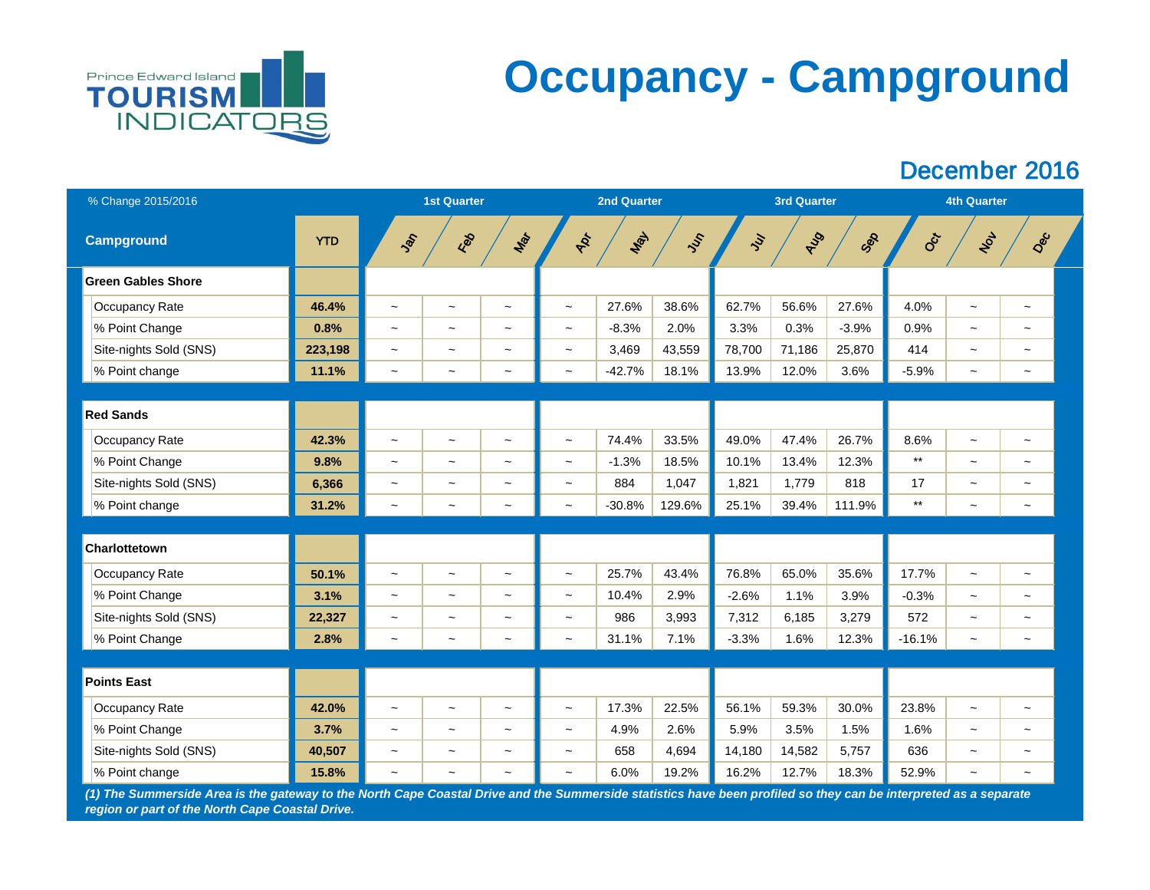

## **Occupancy - Campground**

#### December 2016

| % Change 2015/2016                                                                                                                                               |            |                           | <b>1st Quarter</b>        | <b>2nd Quarter</b>        |                           |          |               |                | <b>3rd Quarter</b> |         | <b>4th Quarter</b> |                           |                           |  |
|------------------------------------------------------------------------------------------------------------------------------------------------------------------|------------|---------------------------|---------------------------|---------------------------|---------------------------|----------|---------------|----------------|--------------------|---------|--------------------|---------------------------|---------------------------|--|
| <b>Campground</b>                                                                                                                                                | <b>YTD</b> | SOF                       | Red                       | Mar                       | ADT                       | Max      | $\mathcal{S}$ | $\overline{y}$ | <b>AJS</b>         | Sep     | <b>Oct</b>         | NOL                       | Dec                       |  |
| <b>Green Gables Shore</b>                                                                                                                                        |            |                           |                           |                           |                           |          |               |                |                    |         |                    |                           |                           |  |
| <b>Occupancy Rate</b>                                                                                                                                            | 46.4%      | $\tilde{\phantom{a}}$     | $\tilde{\phantom{a}}$     | $\widetilde{\phantom{m}}$ | $\widetilde{\phantom{m}}$ | 27.6%    | 38.6%         | 62.7%          | 56.6%              | 27.6%   | 4.0%               | $\tilde{\phantom{a}}$     | $\widetilde{\phantom{m}}$ |  |
| % Point Change                                                                                                                                                   | 0.8%       | $\thicksim$               | $\widetilde{\phantom{m}}$ | $\widetilde{\phantom{m}}$ | $\widetilde{\phantom{m}}$ | $-8.3%$  | 2.0%          | 3.3%           | 0.3%               | $-3.9%$ | 0.9%               | $\tilde{\phantom{a}}$     | $\tilde{\phantom{a}}$     |  |
| Site-nights Sold (SNS)                                                                                                                                           | 223,198    | $\tilde{\phantom{a}}$     | $\tilde{\phantom{m}}$     | $\tilde{}$                | $\widetilde{\phantom{m}}$ | 3,469    | 43,559        | 78,700         | 71,186             | 25,870  | 414                | $\tilde{}$                |                           |  |
| % Point change                                                                                                                                                   | 11.1%      | $\tilde{\phantom{a}}$     | $\tilde{}$                | $\widetilde{\phantom{m}}$ | $\tilde{\phantom{a}}$     | $-42.7%$ | 18.1%         | 13.9%          | 12.0%              | 3.6%    | $-5.9%$            | $\tilde{}$                |                           |  |
|                                                                                                                                                                  |            |                           |                           |                           |                           |          |               |                |                    |         |                    |                           |                           |  |
| <b>Red Sands</b>                                                                                                                                                 |            |                           |                           |                           |                           |          |               |                |                    |         |                    |                           |                           |  |
| <b>Occupancy Rate</b>                                                                                                                                            | 42.3%      | $\tilde{}$                | $\widetilde{\phantom{m}}$ | $\thicksim$               | $\widetilde{\phantom{m}}$ | 74.4%    | 33.5%         | 49.0%          | 47.4%              | 26.7%   | 8.6%               | $\tilde{}$                | $\tilde{\phantom{a}}$     |  |
| % Point Change                                                                                                                                                   | 9.8%       | $\widetilde{\phantom{m}}$ | $\tilde{\phantom{m}}$     | $\tilde{}$                | $\widetilde{\phantom{m}}$ | $-1.3%$  | 18.5%         | 10.1%          | 13.4%              | 12.3%   | $***$              | $\tilde{\phantom{a}}$     |                           |  |
| Site-nights Sold (SNS)                                                                                                                                           | 6,366      | $\widetilde{\phantom{m}}$ | $\widetilde{\phantom{m}}$ | $\tilde{\phantom{a}}$     | $\widetilde{\phantom{m}}$ | 884      | 1,047         | 1,821          | 1,779              | 818     | 17                 | $\tilde{\phantom{a}}$     |                           |  |
| % Point change                                                                                                                                                   | 31.2%      | $\tilde{\phantom{a}}$     | $\widetilde{\phantom{m}}$ | $\widetilde{\phantom{m}}$ | $\tilde{\phantom{a}}$     | $-30.8%$ | 129.6%        | 25.1%          | 39.4%              | 111.9%  | $***$              | $\tilde{}$                | $\tilde{}$                |  |
| <b>Charlottetown</b>                                                                                                                                             |            |                           |                           |                           |                           |          |               |                |                    |         |                    |                           |                           |  |
| <b>Occupancy Rate</b>                                                                                                                                            | 50.1%      | $\thicksim$               | $\widetilde{\phantom{m}}$ | $\tilde{\phantom{a}}$     | $\tilde{\phantom{a}}$     | 25.7%    | 43.4%         | 76.8%          | 65.0%              | 35.6%   | 17.7%              | $\tilde{\phantom{a}}$     | $\tilde{}$                |  |
| % Point Change                                                                                                                                                   | 3.1%       | $\thicksim$               | $\tilde{\phantom{a}}$     | $\widetilde{\phantom{m}}$ | $\tilde{}$                | 10.4%    | 2.9%          | $-2.6%$        | 1.1%               | 3.9%    | $-0.3%$            | $\tilde{\phantom{a}}$     |                           |  |
| Site-nights Sold (SNS)                                                                                                                                           | 22,327     | $\tilde{\phantom{a}}$     |                           | $\tilde{\phantom{a}}$     | $\tilde{\phantom{a}}$     | 986      | 3,993         | 7,312          | 6,185              | 3,279   | 572                |                           |                           |  |
| % Point Change                                                                                                                                                   | 2.8%       | $\thicksim$               | $\tilde{}$                | $\thicksim$               | $\widetilde{\phantom{m}}$ | 31.1%    | 7.1%          | $-3.3%$        | 1.6%               | 12.3%   | $-16.1%$           | $\widetilde{\phantom{m}}$ | $\tilde{\phantom{a}}$     |  |
|                                                                                                                                                                  |            |                           |                           |                           |                           |          |               |                |                    |         |                    |                           |                           |  |
| <b>Points East</b>                                                                                                                                               |            |                           |                           |                           |                           |          |               |                |                    |         |                    |                           |                           |  |
| Occupancy Rate                                                                                                                                                   | 42.0%      | $\widetilde{\phantom{m}}$ | $\thicksim$               | $\widetilde{\phantom{m}}$ | $\widetilde{\phantom{m}}$ | 17.3%    | 22.5%         | 56.1%          | 59.3%              | 30.0%   | 23.8%              | $\widetilde{\phantom{m}}$ | $\widetilde{\phantom{m}}$ |  |
| % Point Change                                                                                                                                                   | 3.7%       | $\widetilde{\phantom{m}}$ | $\thicksim$               | $\widetilde{\phantom{m}}$ | $\widetilde{\phantom{m}}$ | 4.9%     | 2.6%          | 5.9%           | 3.5%               | 1.5%    | 1.6%               | $\tilde{\phantom{a}}$     |                           |  |
| Site-nights Sold (SNS)                                                                                                                                           | 40,507     | $\thicksim$               | $\tilde{\phantom{a}}$     | $\widetilde{\phantom{m}}$ | $\tilde{\phantom{a}}$     | 658      | 4,694         | 14,180         | 14,582             | 5,757   | 636                | $\tilde{}$                |                           |  |
| % Point change                                                                                                                                                   | 15.8%      | $\tilde{\phantom{a}}$     | $\tilde{\phantom{a}}$     | $\tilde{\phantom{a}}$     | $\tilde{\phantom{a}}$     | 6.0%     | 19.2%         | 16.2%          | 12.7%              | 18.3%   | 52.9%              | $\tilde{}$                | $\tilde{\phantom{a}}$     |  |
| (1) The Summerside Area is the gateway to the North Cape Coastal Drive and the Summerside statistics have been profiled so they can be interpreted as a separate |            |                           |                           |                           |                           |          |               |                |                    |         |                    |                           |                           |  |

*region or part of the North Cape Coastal Drive.*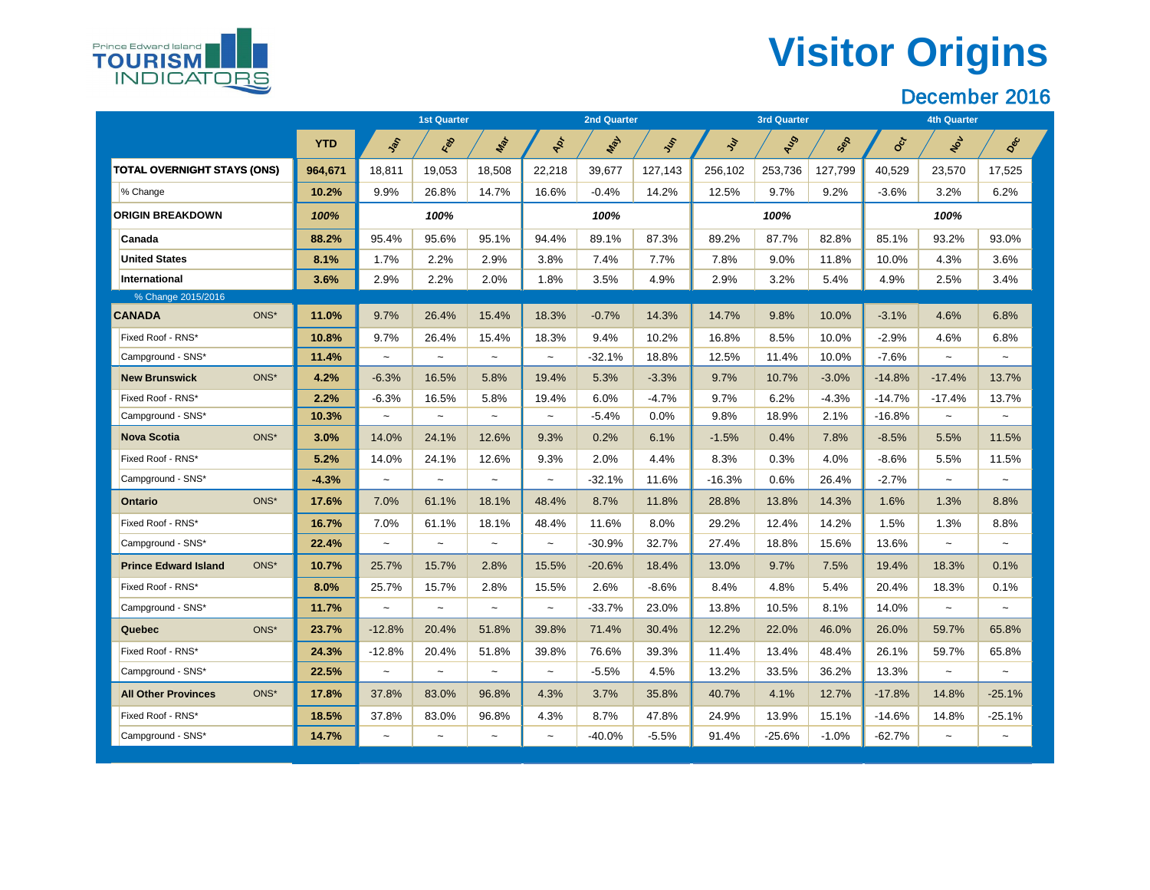# **Visitor Origins**



|                                     |            | <b>1st Quarter</b> |                           |        |             | <b>2nd Quarter</b> |          |           | <b>3rd Quarter</b> |         | <b>4th Quarter</b> |             |             |  |
|-------------------------------------|------------|--------------------|---------------------------|--------|-------------|--------------------|----------|-----------|--------------------|---------|--------------------|-------------|-------------|--|
|                                     | <b>YTD</b> | Sol                | Red                       | Mar    | PR          | Max                | In       | $\dot{y}$ | AUS                | Sex     | CCT                | NOL         | Dec         |  |
| <b>TOTAL OVERNIGHT STAYS (ONS)</b>  | 964,671    | 18,811             | 19,053                    | 18,508 | 22,218      | 39,677             | 127,143  | 256,102   | 253,736            | 127,799 | 40,529             | 23,570      | 17,525      |  |
| % Change                            | 10.2%      | 9.9%               | 26.8%                     | 14.7%  | 16.6%       | $-0.4%$            | 14.2%    | 12.5%     | 9.7%               | 9.2%    | $-3.6%$            | 3.2%        | 6.2%        |  |
| <b>ORIGIN BREAKDOWN</b>             | 100%       |                    | 100%                      |        |             | 100%               |          |           | 100%               |         |                    | 100%        |             |  |
| <b>Canada</b>                       | 88.2%      | 95.4%              | 95.6%                     | 95.1%  | 94.4%       | 89.1%              | 87.3%    | 89.2%     | 87.7%              | 82.8%   | 85.1%              | 93.2%       | 93.0%       |  |
| <b>United States</b>                | 8.1%       | 1.7%               | 2.2%                      | 2.9%   | 3.8%        | 7.4%               | 7.7%     | 7.8%      | $9.0\%$            | 11.8%   | 10.0%              | 4.3%        | 3.6%        |  |
| International                       | 3.6%       | 2.9%               | 2.2%                      | 2.0%   | 1.8%        | 3.5%               | 4.9%     | 2.9%      | 3.2%               | 5.4%    | 4.9%               | 2.5%        | 3.4%        |  |
| % Change 2015/2016                  |            |                    |                           |        |             |                    |          |           |                    |         |                    |             |             |  |
| <b>CANADA</b><br>ONS*               | 11.0%      | 9.7%               | 26.4%                     | 15.4%  | 18.3%       | $-0.7%$            | 14.3%    | 14.7%     | 9.8%               | 10.0%   | $-3.1%$            | 4.6%        | 6.8%        |  |
| Fixed Roof - RNS*                   | 10.8%      | 9.7%               | 26.4%                     | 15.4%  | 18.3%       | 9.4%               | 10.2%    | 16.8%     | 8.5%               | 10.0%   | $-2.9%$            | 4.6%        | 6.8%        |  |
| Campground - SNS*                   | 11.4%      | $\sim$             | $\widetilde{\phantom{m}}$ | $\sim$ | $\sim$      | $-32.1%$           | 18.8%    | 12.5%     | 11.4%              | 10.0%   | $-7.6%$            | $\sim$      | $\sim$      |  |
| ONS*<br><b>New Brunswick</b>        | 4.2%       | $-6.3%$            | 16.5%                     | 5.8%   | 19.4%       | 5.3%               | $-3.3%$  | 9.7%      | 10.7%              | $-3.0%$ | $-14.8%$           | $-17.4%$    | 13.7%       |  |
| Fixed Roof - RNS*                   | 2.2%       | $-6.3%$            | 16.5%                     | 5.8%   | 19.4%       | 6.0%               | $-4.7\%$ | 9.7%      | 6.2%               | $-4.3%$ | $-14.7%$           | $-17.4%$    | 13.7%       |  |
| Campground - SNS*                   | 10.3%      | $\sim$             | $\thicksim$               | $\sim$ | $\sim$      | $-5.4%$            | 0.0%     | 9.8%      | 18.9%              | 2.1%    | $-16.8%$           | $\sim$      | $\sim$      |  |
| <b>Nova Scotia</b><br>ONS*          | 3.0%       | 14.0%              | 24.1%                     | 12.6%  | 9.3%        | 0.2%               | 6.1%     | $-1.5%$   | 0.4%               | 7.8%    | $-8.5%$            | 5.5%        | 11.5%       |  |
| Fixed Roof - RNS*                   | 5.2%       | 14.0%              | 24.1%                     | 12.6%  | 9.3%        | 2.0%               | 4.4%     | 8.3%      | 0.3%               | 4.0%    | $-8.6\%$           | 5.5%        | 11.5%       |  |
| Campground - SNS*                   | $-4.3%$    | $\thicksim$        | $\thicksim$               | $\sim$ | $\thicksim$ | $-32.1%$           | 11.6%    | $-16.3%$  | 0.6%               | 26.4%   | $-2.7%$            | $\sim$      | $\sim$      |  |
| ONS*<br><b>Ontario</b>              | 17.6%      | 7.0%               | 61.1%                     | 18.1%  | 48.4%       | 8.7%               | 11.8%    | 28.8%     | 13.8%              | 14.3%   | 1.6%               | 1.3%        | 8.8%        |  |
| Fixed Roof - RNS*                   | 16.7%      | 7.0%               | 61.1%                     | 18.1%  | 48.4%       | 11.6%              | 8.0%     | 29.2%     | 12.4%              | 14.2%   | $1.5\%$            | 1.3%        | 8.8%        |  |
| Campground - SNS*                   | 22.4%      | $\sim$             | $\thicksim$               | $\sim$ | $\sim$      | $-30.9%$           | 32.7%    | 27.4%     | 18.8%              | 15.6%   | 13.6%              | $\sim$      | $\thicksim$ |  |
| ONS*<br><b>Prince Edward Island</b> | 10.7%      | 25.7%              | 15.7%                     | 2.8%   | 15.5%       | $-20.6%$           | 18.4%    | 13.0%     | 9.7%               | 7.5%    | 19.4%              | 18.3%       | 0.1%        |  |
| Fixed Roof - RNS*                   | 8.0%       | 25.7%              | 15.7%                     | 2.8%   | 15.5%       | 2.6%               | $-8.6%$  | 8.4%      | 4.8%               | 5.4%    | 20.4%              | 18.3%       | 0.1%        |  |
| Campground - SNS*                   | 11.7%      | $\sim$             | $\thicksim$               | $\sim$ | $\sim$      | $-33.7%$           | 23.0%    | 13.8%     | 10.5%              | 8.1%    | 14.0%              | $\sim$      | $\sim$      |  |
| ONS*<br><b>Quebec</b>               | 23.7%      | $-12.8%$           | 20.4%                     | 51.8%  | 39.8%       | 71.4%              | 30.4%    | 12.2%     | 22.0%              | 46.0%   | 26.0%              | 59.7%       | 65.8%       |  |
| Fixed Roof - RNS*                   | 24.3%      | $-12.8%$           | 20.4%                     | 51.8%  | 39.8%       | 76.6%              | 39.3%    | 11.4%     | 13.4%              | 48.4%   | 26.1%              | 59.7%       | 65.8%       |  |
| Campground - SNS*                   | 22.5%      | $\thicksim$        | $\thicksim$               | $\sim$ | $\sim$      | $-5.5%$            | 4.5%     | 13.2%     | 33.5%              | 36.2%   | 13.3%              | $\thicksim$ | $\sim$      |  |
| ONS*<br><b>All Other Provinces</b>  | 17.8%      | 37.8%              | 83.0%                     | 96.8%  | 4.3%        | 3.7%               | 35.8%    | 40.7%     | 4.1%               | 12.7%   | $-17.8%$           | 14.8%       | $-25.1%$    |  |
| Fixed Roof - RNS*                   | 18.5%      | 37.8%              | 83.0%                     | 96.8%  | 4.3%        | 8.7%               | 47.8%    | 24.9%     | 13.9%              | 15.1%   | $-14.6\%$          | 14.8%       | $-25.1%$    |  |
| Campground - SNS*                   | 14.7%      | $\sim$             | $\thicksim$               | $\sim$ | $\sim$      | $-40.0\%$          | $-5.5\%$ | 91.4%     | -25.6%             | $-1.0%$ | $-62.7%$           | $\sim$      | $\sim$      |  |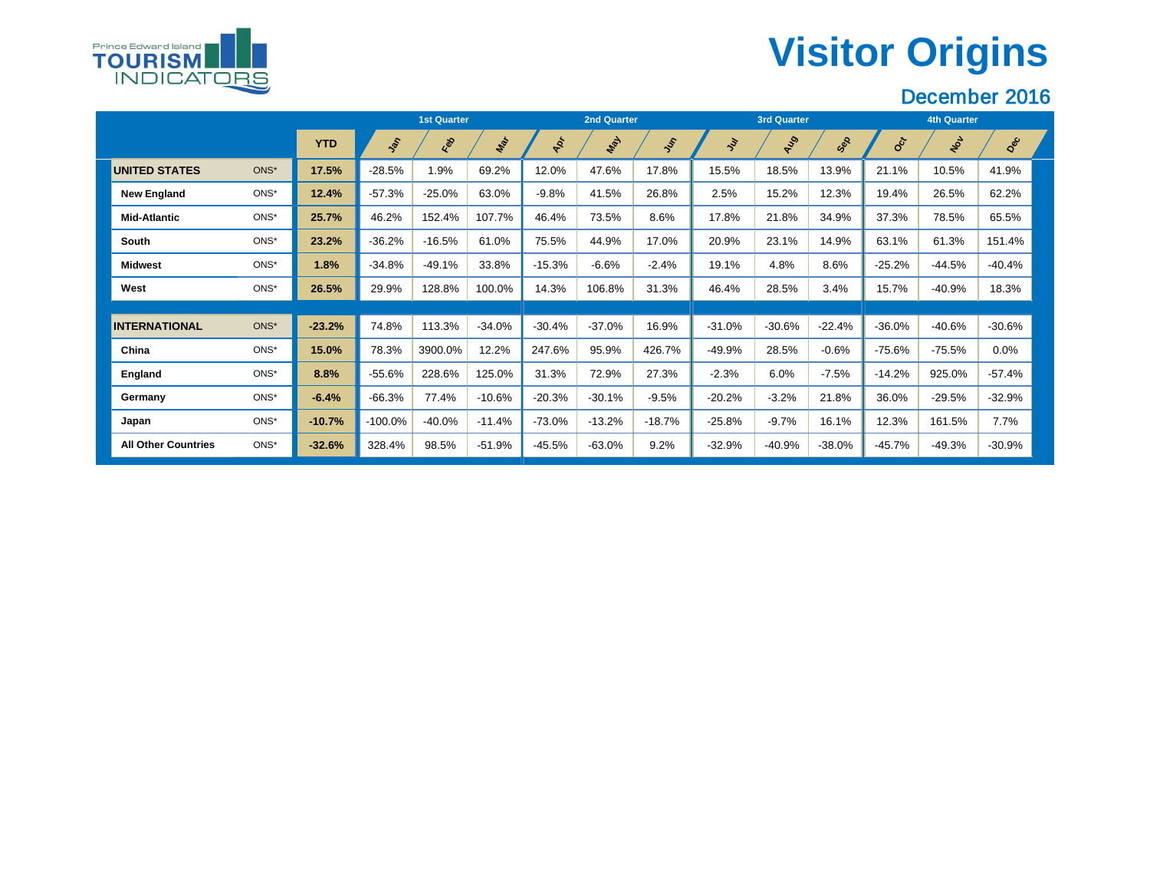# **Visitor Origins**



|                            |      |            |            | <b>1st Quarter</b> |          |           | <b>2nd Quarter</b> |          |               | <b>3rd Quarter</b> |           | <b>4th Quarter</b> |          |          |  |
|----------------------------|------|------------|------------|--------------------|----------|-----------|--------------------|----------|---------------|--------------------|-----------|--------------------|----------|----------|--|
|                            |      | <b>YTD</b> | Sol        | Red                | Mar      | Apr       | <b>May</b>         | Jus      | $\mathcal{E}$ | RIS                | Sep       | <b>SOLU</b>        | NOL      | Dec      |  |
| <b>UNITED STATES</b>       | ONS* | 17.5%      | $-28.5%$   | 1.9%               | 69.2%    | 12.0%     | 47.6%              | 17.8%    | 15.5%         | 18.5%              | 13.9%     | 21.1%              | 10.5%    | 41.9%    |  |
| <b>New England</b>         | ONS* | 12.4%      | $-57.3%$   | $-25.0%$           | 63.0%    | $-9.8%$   | 41.5%              | 26.8%    | 2.5%          | 15.2%              | 12.3%     | 19.4%              | 26.5%    | 62.2%    |  |
| <b>Mid-Atlantic</b>        | ONS* | 25.7%      | 46.2%      | 152.4%             | 107.7%   | 46.4%     | 73.5%              | 8.6%     | 17.8%         | 21.8%              | 34.9%     | 37.3%              | 78.5%    | 65.5%    |  |
| <b>South</b>               | ONS* | 23.2%      | $-36.2%$   | $-16.5%$           | 61.0%    | 75.5%     | 44.9%              | 17.0%    | 20.9%         | 23.1%              | 14.9%     | 63.1%              | 61.3%    | 151.4%   |  |
| <b>Midwest</b>             | ONS* | 1.8%       | $-34.8%$   | $-49.1%$           | 33.8%    | $-15.3%$  | $-6.6%$            | $-2.4%$  | 19.1%         | 4.8%               | 8.6%      | $-25.2%$           | $-44.5%$ | $-40.4%$ |  |
| <b>West</b>                | ONS* | 26.5%      | 29.9%      | 128.8%             | 100.0%   | 14.3%     | 106.8%             | 31.3%    | 46.4%         | 28.5%              | 3.4%      | 15.7%              | $-40.9%$ | 18.3%    |  |
|                            |      |            |            |                    |          |           |                    |          |               |                    |           |                    |          |          |  |
| <b>INTERNATIONAL</b>       | ONS* | $-23.2%$   | 74.8%      | 113.3%             | $-34.0%$ | $-30.4%$  | $-37.0%$           | 16.9%    | $-31.0%$      | $-30.6%$           | $-22.4%$  | $-36.0%$           | $-40.6%$ | $-30.6%$ |  |
| China                      | ONS* | 15.0%      | 78.3%      | 3900.0%            | 12.2%    | 247.6%    | 95.9%              | 426.7%   | $-49.9%$      | 28.5%              | $-0.6%$   | $-75.6%$           | $-75.5%$ | 0.0%     |  |
| <b>England</b>             | ONS* | 8.8%       | $-55.6%$   | 228.6%             | 125.0%   | 31.3%     | 72.9%              | 27.3%    | $-2.3%$       | 6.0%               | $-7.5%$   | $-14.2%$           | 925.0%   | $-57.4%$ |  |
| Germany                    | ONS* | $-6.4%$    | $-66.3%$   | 77.4%              | $-10.6%$ | $-20.3%$  | $-30.1%$           | $-9.5%$  | $-20.2%$      | $-3.2%$            | 21.8%     | 36.0%              | $-29.5%$ | $-32.9%$ |  |
| Japan                      | ONS* | $-10.7%$   | $-100.0\%$ | $-40.0\%$          | $-11.4%$ | $-73.0\%$ | $-13.2%$           | $-18.7%$ | $-25.8%$      | $-9.7%$            | 16.1%     | 12.3%              | 161.5%   | 7.7%     |  |
| <b>All Other Countries</b> | ONS* | $-32.6%$   | 328.4%     | 98.5%              | $-51.9%$ | $-45.5%$  | $-63.0%$           | 9.2%     | $-32.9%$      | $-40.9%$           | $-38.0\%$ | $-45.7\%$          | $-49.3%$ | $-30.9%$ |  |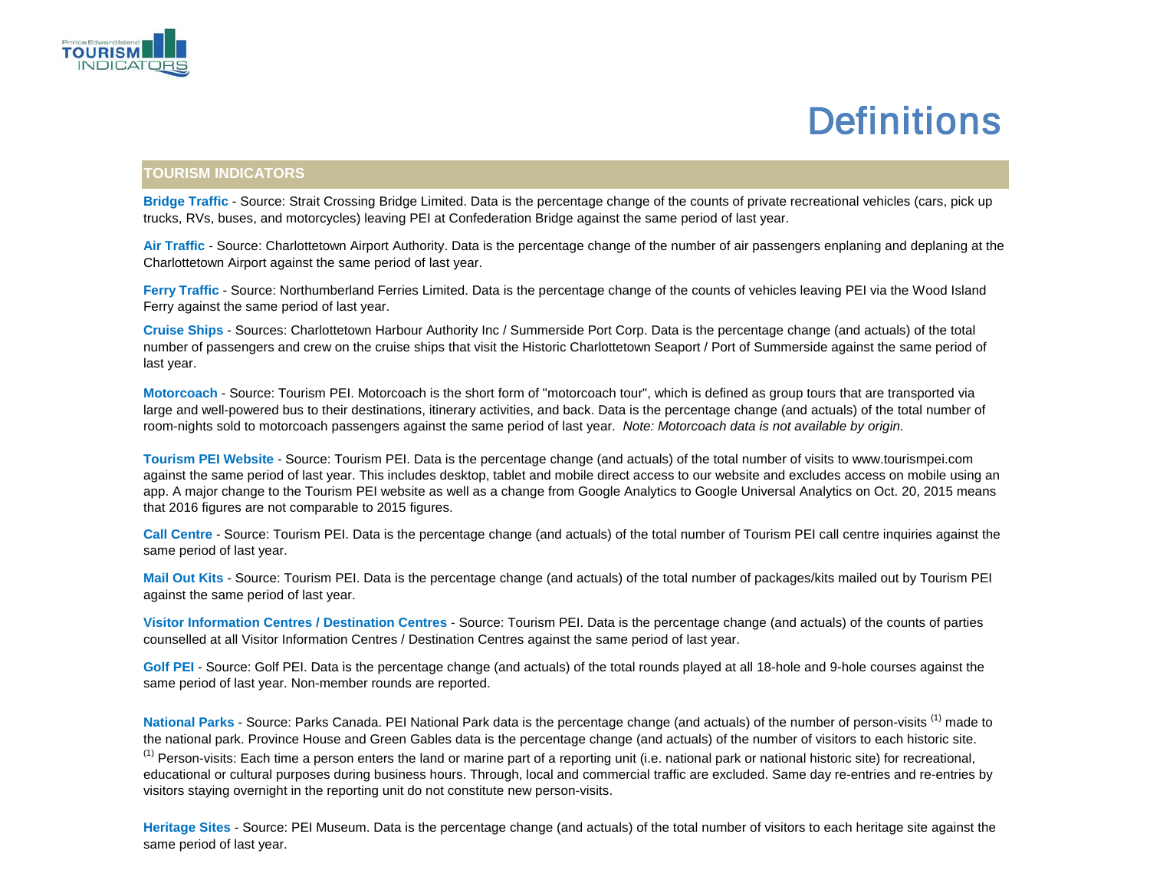

#### **Definitions**

#### **TOURISM INDICATORS**

**Bridge Traffic** - Source: Strait Crossing Bridge Limited. Data is the percentage change of the counts of private recreational vehicles (cars, pick up trucks, RVs, buses, and motorcycles) leaving PEI at Confederation Bridge against the same period of last year.

**Air Traffic** - Source: Charlottetown Airport Authority. Data is the percentage change of the number of air passengers enplaning and deplaning at the Charlottetown Airport against the same period of last year.

**Ferry Traffic** - Source: Northumberland Ferries Limited. Data is the percentage change of the counts of vehicles leaving PEI via the Wood Island Ferry against the same period of last year.

**Cruise Ships** - Sources: Charlottetown Harbour Authority Inc / Summerside Port Corp. Data is the percentage change (and actuals) of the total number of passengers and crew on the cruise ships that visit the Historic Charlottetown Seaport / Port of Summerside against the same period of last year.

**Motorcoach** - Source: Tourism PEI. Motorcoach is the short form of "motorcoach tour", which is defined as group tours that are transported via large and well-powered bus to their destinations, itinerary activities, and back. Data is the percentage change (and actuals) of the total number of room-nights sold to motorcoach passengers against the same period of last year. *Note: Motorcoach data is not available by origin.*

**Tourism PEI Website** - Source: Tourism PEI. Data is the percentage change (and actuals) of the total number of visits to www.tourismpei.com against the same period of last year. This includes desktop, tablet and mobile direct access to our website and excludes access on mobile using an app. A major change to the Tourism PEI website as well as a change from Google Analytics to Google Universal Analytics on Oct. 20, 2015 means that 2016 figures are not comparable to 2015 figures.

**Call Centre** - Source: Tourism PEI. Data is the percentage change (and actuals) of the total number of Tourism PEI call centre inquiries against the same period of last year.

**Mail Out Kits** - Source: Tourism PEI. Data is the percentage change (and actuals) of the total number of packages/kits mailed out by Tourism PEI against the same period of last year.

**Visitor Information Centres / Destination Centres** - Source: Tourism PEI. Data is the percentage change (and actuals) of the counts of parties counselled at all Visitor Information Centres / Destination Centres against the same period of last year.

**Golf PEI** - Source: Golf PEI. Data is the percentage change (and actuals) of the total rounds played at all 18-hole and 9-hole courses against the same period of last year. Non-member rounds are reported.

National Parks - Source: Parks Canada. PEI National Park data is the percentage change (and actuals) of the number of person-visits <sup>(1)</sup> made to the national park. Province House and Green Gables data is the percentage change (and actuals) of the number of visitors to each historic site. <sup>(1)</sup> Person-visits: Each time a person enters the land or marine part of a reporting unit (i.e. national park or national historic site) for recreational, educational or cultural purposes during business hours. Through, local and commercial traffic are excluded. Same day re-entries and re-entries by visitors staying overnight in the reporting unit do not constitute new person-visits.

**Heritage Sites** - Source: PEI Museum. Data is the percentage change (and actuals) of the total number of visitors to each heritage site against the same period of last year.